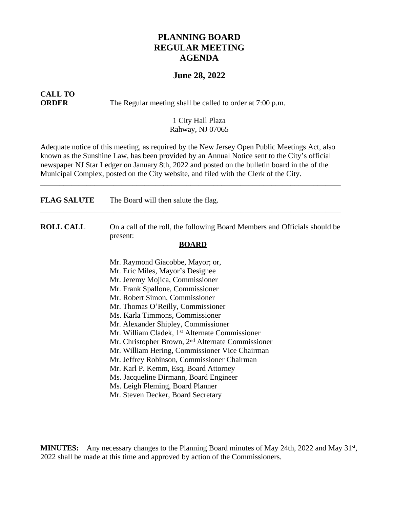## **PLANNING BOARD REGULAR MEETING AGENDA**

### **June 28, 2022**

# **CALL TO**

**ORDER** The Regular meeting shall be called to order at 7:00 p.m.

#### 1 City Hall Plaza Rahway, NJ 07065

Adequate notice of this meeting, as required by the New Jersey Open Public Meetings Act, also known as the Sunshine Law, has been provided by an Annual Notice sent to the City's official newspaper NJ Star Ledger on January 8th, 2022 and posted on the bulletin board in the of the Municipal Complex, posted on the City website, and filed with the Clerk of the City.

\_\_\_\_\_\_\_\_\_\_\_\_\_\_\_\_\_\_\_\_\_\_\_\_\_\_\_\_\_\_\_\_\_\_\_\_\_\_\_\_\_\_\_\_\_\_\_\_\_\_\_\_\_\_\_\_\_\_\_\_\_\_\_\_\_\_\_\_\_\_\_\_\_\_\_\_\_\_

| <b>FLAG SALUTE</b> | The Board will then salute the flag.                                                                   |
|--------------------|--------------------------------------------------------------------------------------------------------|
| <b>ROLL CALL</b>   | On a call of the roll, the following Board Members and Officials should be<br>present:<br><b>BOARD</b> |
|                    | Mr. Raymond Giacobbe, Mayor; or,                                                                       |
|                    | Mr. Eric Miles, Mayor's Designee                                                                       |
|                    | Mr. Jeremy Mojica, Commissioner                                                                        |
|                    | Mr. Frank Spallone, Commissioner                                                                       |
|                    | Mr. Robert Simon, Commissioner                                                                         |
|                    | Mr. Thomas O'Reilly, Commissioner                                                                      |
|                    | Ms. Karla Timmons, Commissioner                                                                        |
|                    | Mr. Alexander Shipley, Commissioner                                                                    |
|                    | Mr. William Cladek, 1 <sup>st</sup> Alternate Commissioner                                             |
|                    | Mr. Christopher Brown, 2 <sup>nd</sup> Alternate Commissioner                                          |
|                    | Mr. William Hering, Commissioner Vice Chairman                                                         |
|                    | Mr. Jeffrey Robinson, Commissioner Chairman                                                            |
|                    | Mr. Karl P. Kemm, Esq, Board Attorney                                                                  |
|                    | Ms. Jacqueline Dirmann, Board Engineer                                                                 |
|                    | Ms. Leigh Fleming, Board Planner                                                                       |
|                    | Mr. Steven Decker, Board Secretary                                                                     |

MINUTES: Any necessary changes to the Planning Board minutes of May 24th, 2022 and May 31<sup>st</sup>, 2022 shall be made at this time and approved by action of the Commissioners.